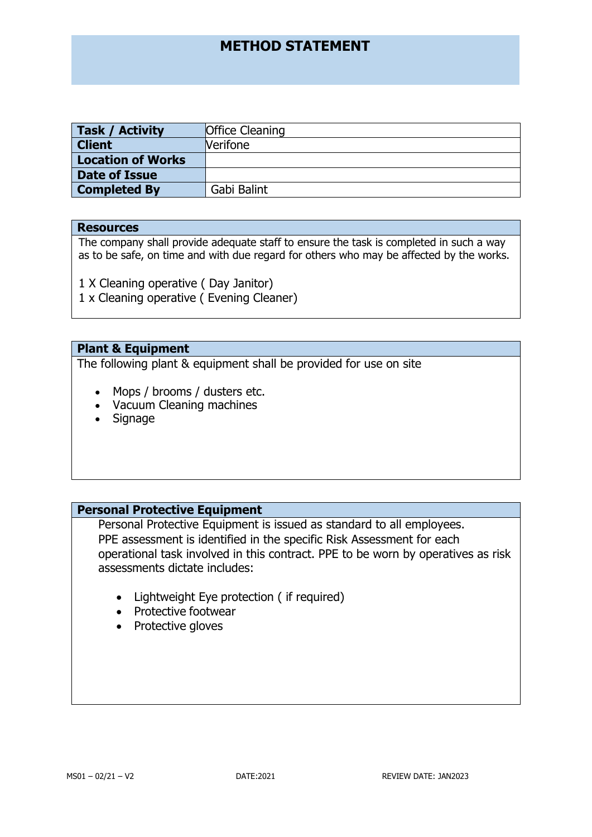| Task / Activity          | <b>Office Cleaning</b> |
|--------------------------|------------------------|
| <b>Client</b>            | <b>Nerifone</b>        |
| <b>Location of Works</b> |                        |
| Date of Issue            |                        |
| <b>Completed By</b>      | Gabi Balint            |

## **Resources**

The company shall provide adequate staff to ensure the task is completed in such a way as to be safe, on time and with due regard for others who may be affected by the works.

1 X Cleaning operative ( Day Janitor)

1 x Cleaning operative ( Evening Cleaner)

# **Plant & Equipment**

The following plant & equipment shall be provided for use on site

- Mops / brooms / dusters etc.
- Vacuum Cleaning machines
- Signage

# **Personal Protective Equipment**

Personal Protective Equipment is issued as standard to all employees. PPE assessment is identified in the specific Risk Assessment for each operational task involved in this contract. PPE to be worn by operatives as risk assessments dictate includes:

- Lightweight Eye protection ( if required)
- Protective footwear
- Protective gloves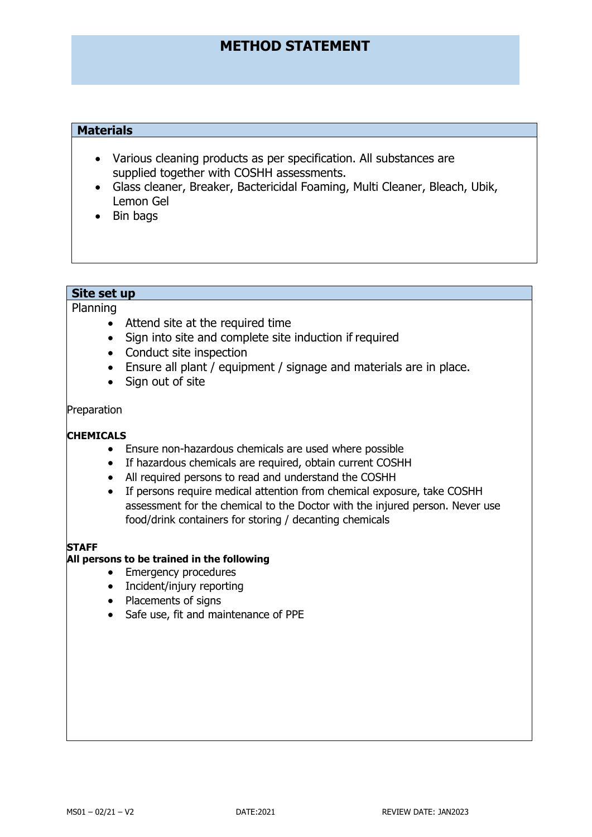# **Materials**

- Various cleaning products as per specification. All substances are supplied together with COSHH assessments.
- Glass cleaner, Breaker, Bactericidal Foaming, Multi Cleaner, Bleach, Ubik, Lemon Gel
- Bin bags

# **Site set up**

Planning

- Attend site at the required time
- Sign into site and complete site induction if required
- Conduct site inspection
- Ensure all plant / equipment / signage and materials are in place.
- Sign out of site

## Preparation

# **CHEMICALS**

- Ensure non-hazardous chemicals are used where possible
- If hazardous chemicals are required, obtain current COSHH
- All required persons to read and understand the COSHH
- If persons require medical attention from chemical exposure, take COSHH assessment for the chemical to the Doctor with the injured person. Never use food/drink containers for storing / decanting chemicals

#### **STAFF**

# **All persons to be trained in the following**

- Emergency procedures
- Incident/injury reporting
- Placements of signs
- Safe use, fit and maintenance of PPE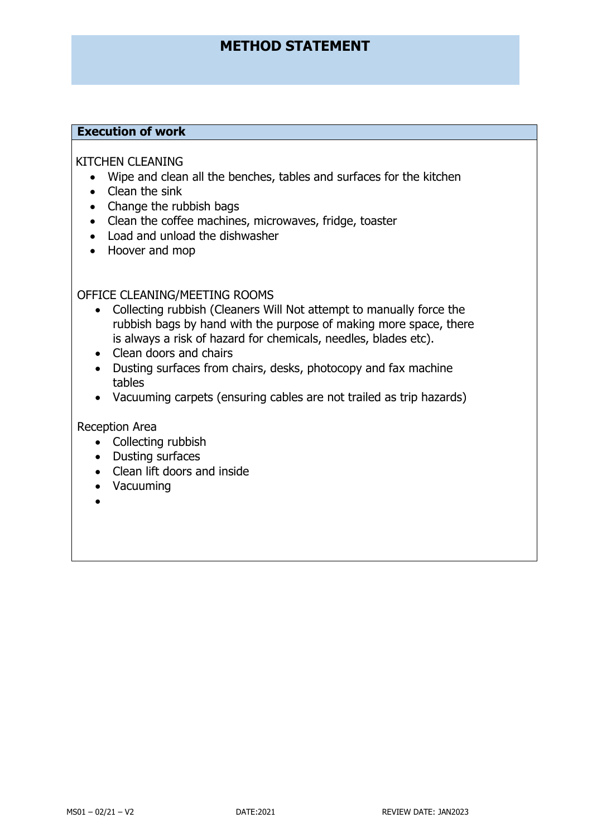# **Execution of work**

# KITCHEN CLEANING

- Wipe and clean all the benches, tables and surfaces for the kitchen
- Clean the sink
- Change the rubbish bags
- Clean the coffee machines, microwaves, fridge, toaster
- Load and unload the dishwasher
- Hoover and mop

OFFICE CLEANING/MEETING ROOMS

- Collecting rubbish (Cleaners Will Not attempt to manually force the rubbish bags by hand with the purpose of making more space, there is always a risk of hazard for chemicals, needles, blades etc).
- Clean doors and chairs
- Dusting surfaces from chairs, desks, photocopy and fax machine tables
- Vacuuming carpets (ensuring cables are not trailed as trip hazards)

Reception Area

- Collecting rubbish
- Dusting surfaces
- Clean lift doors and inside
- Vacuuming
- •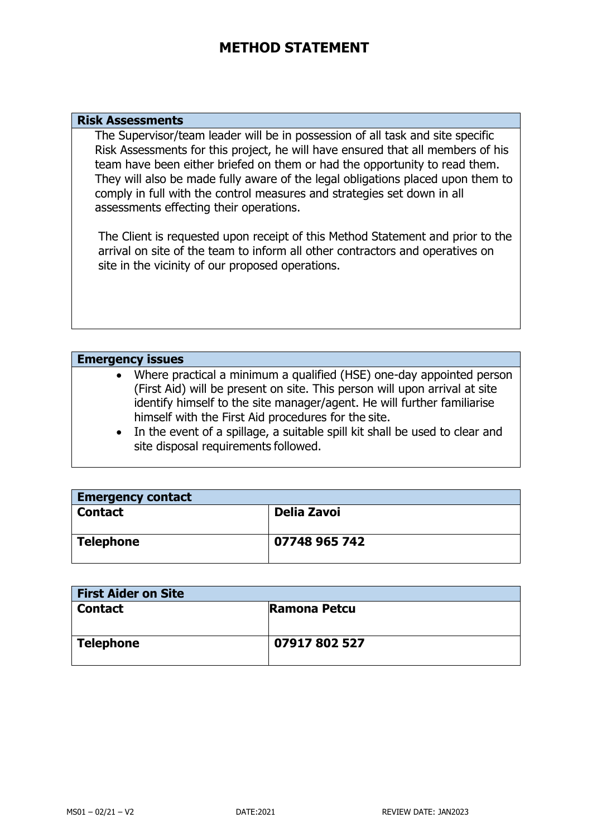## **Risk Assessments**

The Supervisor/team leader will be in possession of all task and site specific Risk Assessments for this project, he will have ensured that all members of his team have been either briefed on them or had the opportunity to read them. They will also be made fully aware of the legal obligations placed upon them to comply in full with the control measures and strategies set down in all assessments effecting their operations.

The Client is requested upon receipt of this Method Statement and prior to the arrival on site of the team to inform all other contractors and operatives on site in the vicinity of our proposed operations.

# **Emergency issues**

- Where practical a minimum a qualified (HSE) one-day appointed person (First Aid) will be present on site. This person will upon arrival at site identify himself to the site manager/agent. He will further familiarise himself with the First Aid procedures for the site.
- In the event of a spillage, a suitable spill kit shall be used to clear and site disposal requirements followed.

| <b>Emergency contact</b> |               |  |
|--------------------------|---------------|--|
| <b>Contact</b>           | Delia Zavoi   |  |
|                          |               |  |
| <b>Telephone</b>         | 07748 965 742 |  |
|                          |               |  |

| <b>First Aider on Site</b> |                     |  |
|----------------------------|---------------------|--|
| <b>Contact</b>             | <b>Ramona Petcu</b> |  |
|                            |                     |  |
| <b>Telephone</b>           | 07917802527         |  |
|                            |                     |  |